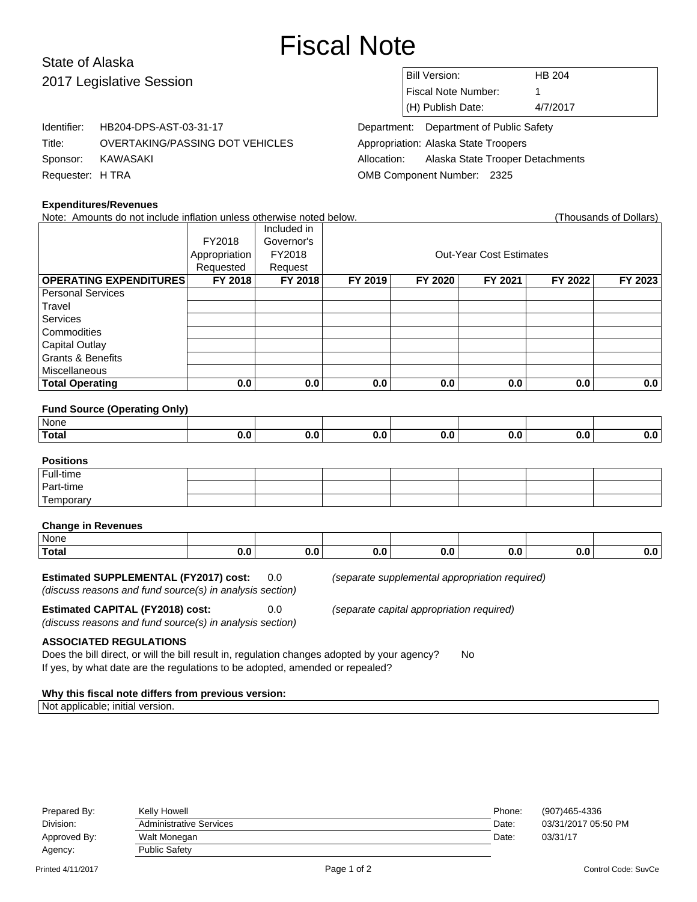# Fiscal Note

# State of Alaska 2017 Legislative Session

Identifier: HB204-DPS-AST-03-31-17

Title: OVERTAKING/PASSING DOT VEHICLES

| <b>Bill Version:</b> | HB 204   |
|----------------------|----------|
| Fiscal Note Number:  |          |
| (H) Publish Date:    | 4/7/2017 |

Department: Department of Public Safety Appropriation: Alaska State Troopers Allocation: Alaska State Trooper Detachments OMB Component Number: 2325

## **Expenditures/Revenues**

Sponsor: KAWASAKI Requester: H TRA

| Note: Amounts do not include inflation unless otherwise noted below. |               |             |                                |         |         |         | (Thousands of Dollars) |  |
|----------------------------------------------------------------------|---------------|-------------|--------------------------------|---------|---------|---------|------------------------|--|
|                                                                      |               | Included in |                                |         |         |         |                        |  |
|                                                                      | FY2018        | Governor's  |                                |         |         |         |                        |  |
|                                                                      | Appropriation | FY2018      | <b>Out-Year Cost Estimates</b> |         |         |         |                        |  |
|                                                                      | Requested     | Request     |                                |         |         |         |                        |  |
| <b>OPERATING EXPENDITURES</b>                                        | FY 2018       | FY 2018     | FY 2019                        | FY 2020 | FY 2021 | FY 2022 | FY 2023                |  |
| <b>Personal Services</b>                                             |               |             |                                |         |         |         |                        |  |
| Travel                                                               |               |             |                                |         |         |         |                        |  |
| <b>Services</b>                                                      |               |             |                                |         |         |         |                        |  |
| Commodities                                                          |               |             |                                |         |         |         |                        |  |
| <b>Capital Outlay</b>                                                |               |             |                                |         |         |         |                        |  |
| <b>Grants &amp; Benefits</b>                                         |               |             |                                |         |         |         |                        |  |
| Miscellaneous                                                        |               |             |                                |         |         |         |                        |  |
| <b>Total Operating</b>                                               | 0.0           | 0.0         | 0.0                            | 0.0     | 0.0     | 0.0     | 0.0                    |  |
|                                                                      |               |             |                                |         |         |         |                        |  |
| <b>Fund Source (Operating Only)</b>                                  |               |             |                                |         |         |         |                        |  |
| None                                                                 |               |             |                                |         |         |         |                        |  |
| <b>Total</b>                                                         | 0.0           | 0.0         | 0.0                            | 0.0     | 0.0     | 0.0     | 0.0                    |  |
|                                                                      |               |             |                                |         |         |         |                        |  |
| <b>Positions</b>                                                     |               |             |                                |         |         |         |                        |  |
| Full-time                                                            |               |             |                                |         |         |         |                        |  |
| Part-time                                                            |               |             |                                |         |         |         |                        |  |
| Temporary                                                            |               |             |                                |         |         |         |                        |  |
|                                                                      |               |             |                                |         |         |         |                        |  |
| <b>Change in Revenues</b>                                            |               |             |                                |         |         |         |                        |  |
| None                                                                 |               |             |                                |         |         |         |                        |  |
| <b>Total</b>                                                         | 0.0           | 0.0         | 0.0                            | 0.0     | 0.0     | 0.0     | 0.0                    |  |

#### **Estimated SUPPLEMENTAL (FY2017) cost:** 0.0 (separate supplemental appropriation required)

(discuss reasons and fund source(s) in analysis section)

**Estimated CAPITAL (FY2018) cost:** 0.0 (separate capital appropriation required)

(discuss reasons and fund source(s) in analysis section)

**ASSOCIATED REGULATIONS**

Does the bill direct, or will the bill result in, regulation changes adopted by your agency? No If yes, by what date are the regulations to be adopted, amended or repealed?

#### **Why this fiscal note differs from previous version:**

Not applicable; initial version.

| Prepared By: | Kelly Howell                   | Phone: | (907)465-4336       |
|--------------|--------------------------------|--------|---------------------|
| Division:    | <b>Administrative Services</b> | Date:  | 03/31/2017 05:50 PM |
| Approved By: | Walt Monegan                   | Date:  | 03/31/17            |
| Agency:      | <b>Public Safety</b>           |        |                     |